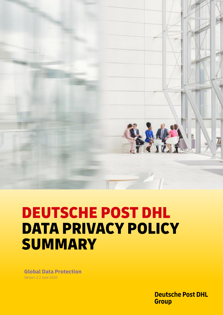

# DEUTSCHE POST DHL DATA PRIVACY POLICY SUMMARY

**Global Data Protection** Version: 2.2 June 2020

> **Deutsche Post DHL Group**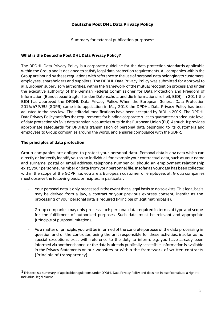# **Deutsche Post DHL Data Privacy Policy**

Summary for external publication purposes $<sup>1</sup>$ </sup>

## **What is the Deutsche Post DHL Data Privacy Policy?**

The DPDHL Data Privacy Policy is a corporate guideline for the data protection standards applicable within the Group and is designed to satisfy legal data protection requirements. All companies within the Group are bound by these regulations with reference to the use of personal data belonging to customers, employees, shareholders and suppliers. The DPDHL Data Privacy Policy was submitted for approval to all European supervisory authorities, within the framework of the mutual recognition process and under the executive authority of the German Federal Commissioner for Data Protection and Freedom of Information (Bundesbeauftragter für den Datenschutz und die Informationsfreiheit, BfDI). In 2011 the BfDI has approved the DPDHL Data Privacy Policy. When the European General Data Protection 2016/679/EU (GDPR) came into application in May 2018 the DPDHL Data Privacy Policy has been adjusted to the new law. The editorial modifications have been accepted by BfDI in 2019. The DPDHL Data Privacy Policy satisfies the requirements for binding corporate rules to guarantee an adequate level of data protection vis à vis data transfer in countries outside the European Union (EU). As such, it provides appropriate safeguards for DPDHL's transmission of personal data belonging to its customers and employees to Group companies around the world, and ensures compliance with the GDPR.

### **The principles of data protection**

Group companies are obliged to protect your personal data. Personal data is any data which can directly or indirectly identify you as an individual, for example your contractual data, such as your name and surname, postal or email address, telephone number or, should an employment relationship exist, your personnel number or data from your personnel file. Insofar as your data has been collected within the scope of the GDPR, i.e. you are a European customer or employee, all Group companies must observe the following basic principles, in particular:

- Your personal data is only processed in the event that a legal basis to do so exists. This legal basis may be derived from a law, a contract or your previous express consent, insofar as the processing of your personal data is required (Principle of legitimatingbasis).
- Group companies may only process such personal data required in terms of type and scope for the fulfillment of authorized purposes. Such data must be relevant and appropriate (Principle of purposelimitation).
- As a matter of principle, you will be informed of the concrete purpose of the data processing in question and of the controller, being the unit responsible for these activities, insofar as no special exceptions exist with reference to the duty to inform, e.g. you have already been informed via another channel or the data is already publically accessible. Information is available in the Privacy Statements on our websites or within the framework of written contracts (Principle of transparency).

<sup>&</sup>lt;sup>1</sup>This text is a summary of applicable regulations under DPDHL Data Privacy Policy and does not in itself constitute a right to individual legal claims.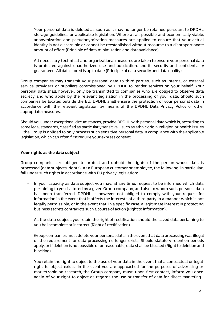- Your personal data is deleted as soon as it may no longer be retained pursuant to DPDHL storage guidelines or applicable legislation. Where at all possible and economically viable, anonymization and pseudonymization measures are applied to ensure that your actual identity is not discernible or cannot be reestablished without recourse to a disproportionate amount of effort (Principle of data minimization and dataavoidance).
- All necessary technical and organizational measures are taken to ensure your personal data is protected against unauthorized use and publication, and its security and confidentiality guaranteed. All data stored is up to date (Principle of data security and data quality).

Group companies may transmit your personal data to third parties, such as internal or external service providers or suppliers commissioned by DPDHL to render services on your behalf. Your personal data shall, however, only be transmitted to companies who are obliged to observe data secrecy and who abide by the relevant legislation in the processing of your data. Should such companies be located outside the EU, DPDHL shall ensure the protection of your personal data in accordance with the relevant legislation by means of the DPDHL Data Privacy Policy or other appropriate measures.

Should you, under exceptional circumstances, provide DPDHL with personal data which is, according to some legal standards, classified as particularly sensitive – such as ethnic origin, religion or health issues – the Group is obliged to only process such sensitive personal data in compliance with the applicable legislation, which can often first require your express consent.

### **Your rights as the data subject**

Group companies are obliged to protect and uphold the rights of the person whose data is processed (data subjects' rights). As a European customer or employee, the following, in particular, fall under such rights in accordance with EU privacy legislation:

- In your capacity as data subject you may, at any time, request to be informed which data pertaining to you is stored by a given Group company, and also to whom such personal data has been transferred. DPDHL is however not obliged to comply with your request for information in the event that it affects the interests of a third party in a manner which is not legally permissible, or in the event that, in a specific case, a legitimate interest in protecting business secrets contradicts such a course of action (Right to information).
- As the data subject, you retain the right of rectification should the saved data pertaining to you be incomplete or incorrect (Right of rectification).
- Group companies must delete your personal data in the event that data processing was illegal or the requirement for data processing no longer exists. Should statutory retention periods apply, or if deletion is not possible or unreasonable, data shall be blocked (Right to deletion and blocking).
- You retain the right to object to the use of your data in the event that a contractual or legal right to object exists. In the event you are approached for the purposes of advertising or market/opinion research, the Group company must, upon first contact, inform you once again of your right to object as regards the use or transfer of data for direct marketing